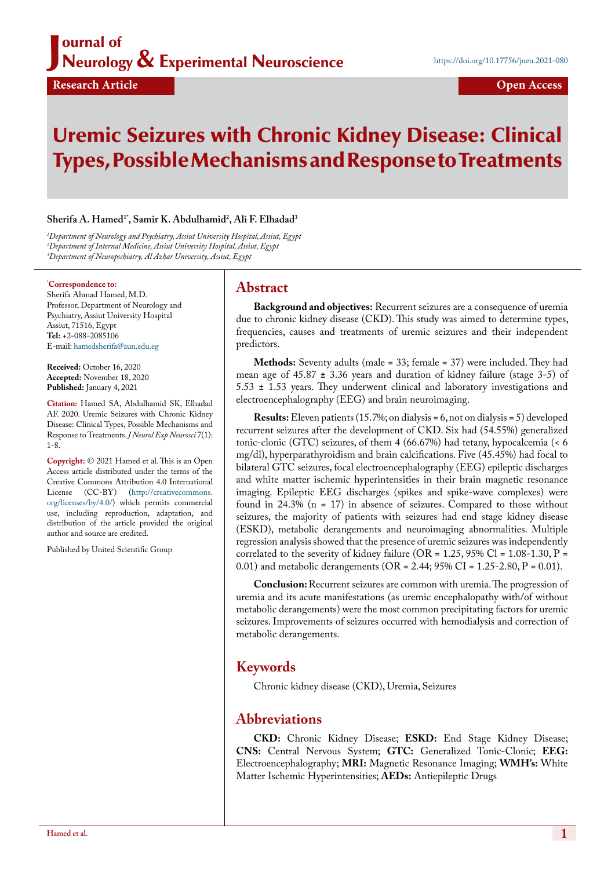#### J ournal of Neurology & Experimental Neuroscience

# Uremic Seizures with Chronic Kidney Disease: Clinical Types, Possible Mechanisms and Response to Treatments

#### **Sherifa A. Hamed1\*, Samir K. Abdulhamid2 , Ali F. Elhadad3**

*1 Department of Neurology and Psychiatry, Assiut University Hospital, Assiut, Egypt 2 Department of Internal Medicine, Assiut University Hospital, Assiut, Egypt 3 Department of Neuropschiatry, Al Azhar University, Assiut, Egypt*

#### **\* Correspondence to:**

Sherifa Ahmad Hamed, M.D. Professor, Department of Neurology and Psychiatry, Assiut University Hospital Assiut, 71516, Egypt **Tel:** +2-088-2085106 E-mail: hamedsherifa@aun.edu.eg

**Received:** October 16, 2020 **Accepted:** November 18, 2020 **Published:** January 4, 2021

**Citation:** Hamed SA, Abdulhamid SK, Elhadad AF. 2020. Uremic Seizures with Chronic Kidney Disease: Clinical Types, Possible Mechanisms and Response to Treatments. *J Neurol Exp Neurosci* 7(1): 1-8.

**Copyright:** © 2021 Hamed et al. This is an Open Access article distributed under the terms of the Creative Commons Attribution 4.0 International License (CC-BY) (http://creativecommons. org/licenses/by/4.0/) which permits commercial use, including reproduction, adaptation, and distribution of the article provided the original author and source are credited.

Published by United Scientific Group

#### **Abstract**

**Background and objectives:** Recurrent seizures are a consequence of uremia due to chronic kidney disease (CKD). This study was aimed to determine types, frequencies, causes and treatments of uremic seizures and their independent predictors.

**Methods:** Seventy adults (male = 33; female = 37) were included. They had mean age of 45.87 **±** 3.36 years and duration of kidney failure (stage 3-5) of 5.53 **±** 1.53 years. They underwent clinical and laboratory investigations and electroencephalography (EEG) and brain neuroimaging.

**Results:** Eleven patients (15.7%; on dialysis = 6, not on dialysis = 5) developed recurrent seizures after the development of CKD. Six had (54.55%) generalized tonic-clonic (GTC) seizures, of them 4 (66.67%) had tetany, hypocalcemia (< 6 mg/dl), hyperparathyroidism and brain calcifications. Five (45.45%) had focal to bilateral GTC seizures, focal electroencephalography (EEG) epileptic discharges and white matter ischemic hyperintensities in their brain magnetic resonance imaging. Epileptic EEG discharges (spikes and spike-wave complexes) were found in 24.3% (n = 17) in absence of seizures. Compared to those without seizures, the majority of patients with seizures had end stage kidney disease (ESKD), metabolic derangements and neuroimaging abnormalities. Multiple regression analysis showed that the presence of uremic seizures was independently correlated to the severity of kidney failure (OR =  $1.25$ ,  $95\%$  Cl =  $1.08-1.30$ , P = 0.01) and metabolic derangements (OR = 2.44; 95% CI = 1.25-2.80, P = 0.01).

**Conclusion:** Recurrent seizures are common with uremia. The progression of uremia and its acute manifestations (as uremic encephalopathy with/of without metabolic derangements) were the most common precipitating factors for uremic seizures. Improvements of seizures occurred with hemodialysis and correction of metabolic derangements.

## **Keywords**

Chronic kidney disease (CKD), Uremia, Seizures

## **Abbreviations**

**CKD:** Chronic Kidney Disease; **ESKD:** End Stage Kidney Disease; **CNS:** Central Nervous System; **GTC:** Generalized Tonic-Clonic; **EEG:** Electroencephalography; **MRI:** Magnetic Resonance Imaging; **WMH's:** White Matter Ischemic Hyperintensities; **AEDs:** Antiepileptic Drugs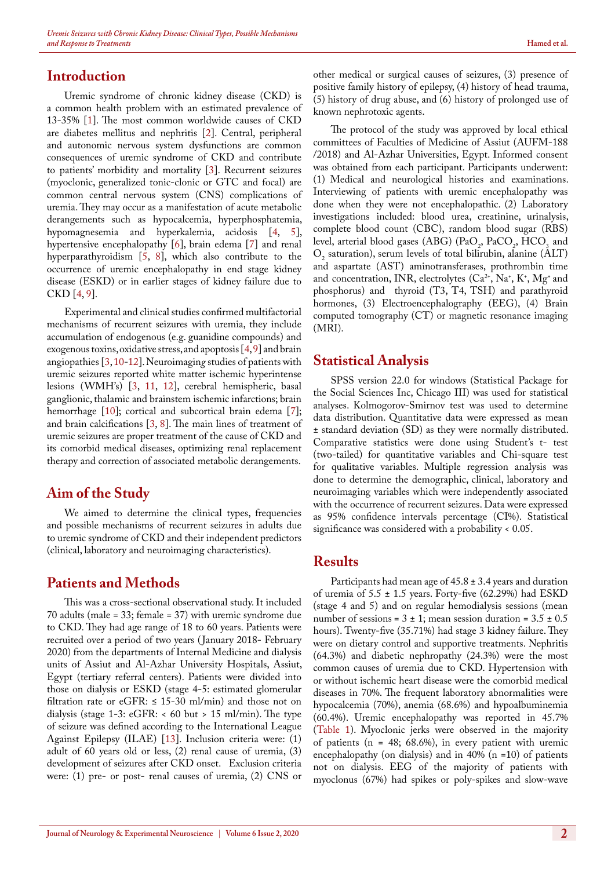#### **Introduction**

Uremic syndrome of chronic kidney disease (CKD) is a common health problem with an estimated prevalence of 13-35% [[1\]](#page-6-0). The most common worldwide causes of CKD are diabetes mellitus and nephritis [\[2](#page-6-1)]. Central, peripheral and autonomic nervous system dysfunctions are common consequences of uremic syndrome of CKD and contribute to patients' morbidity and mortality [\[3](#page-6-2)]. Recurrent seizures (myoclonic, generalized tonic-clonic or GTC and focal) are common central nervous system (CNS) complications of uremia. They may occur as a manifestation of acute metabolic derangements such as hypocalcemia, hyperphosphatemia, hypomagnesemia and hyperkalemia, acidosis [[4,](#page-6-3) [5\]](#page-6-4), hypertensive encephalopathy  $[6]$  $[6]$ , brain edema  $[7]$  $[7]$  and renal hyperparathyroidism [[5,](#page-6-4) [8\]](#page-7-0), which also contribute to the occurrence of uremic encephalopathy in end stage kidney disease (ESKD) or in earlier stages of kidney failure due to CKD [\[4](#page-6-3), [9](#page-7-1)].

Experimental and clinical studies confirmed multifactorial mechanisms of recurrent seizures with uremia, they include accumulation of endogenous (e.g. guanidine compounds) and exogenous toxins, oxidative stress, and apoptosis [[4,](#page-6-3) [9\]](#page-7-1) and brain angiopathies [\[3](#page-6-2), [10](#page-7-2)[-12](#page-7-3)]. Neuroimagin*g* studies of patients with uremic seizures reported white matter ischemic hyperintense lesions (WMH's) [[3,](#page-6-2) [11](#page-7-4), [12\]](#page-7-3), cerebral hemispheric, basal ganglionic, thalamic and brainstem ischemic infarctions; brain hemorrhage [[10\]](#page-7-2); cortical and subcortical brain edema [\[7](#page-6-6)]; and brain calcifications [[3,](#page-6-2) [8\]](#page-7-0). The main lines of treatment of uremic seizures are proper treatment of the cause of CKD and its comorbid medical diseases, optimizing renal replacement therapy and correction of associated metabolic derangements.

## **Aim of the Study**

We aimed to determine the clinical types, frequencies and possible mechanisms of recurrent seizures in adults due to uremic syndrome of CKD and their independent predictors (clinical, laboratory and neuroimaging characteristics).

## **Patients and Methods**

This was a cross-sectional observational study. It included 70 adults (male = 33; female = 37) with uremic syndrome due to CKD. They had age range of 18 to 60 years. Patients were recruited over a period of two years ( January 2018- February 2020) from the departments of Internal Medicine and dialysis units of Assiut and Al-Azhar University Hospitals, Assiut, Egypt (tertiary referral centers). Patients were divided into those on dialysis or ESKD (stage 4-5: estimated glomerular filtration rate or eGFR:  $\leq$  15-30 ml/min) and those not on dialysis (stage 1-3: eGFR: < 60 but > 15 ml/min). The type of seizure was defined according to the International League Against Epilepsy (ILAE) [[13\]](#page-7-5). Inclusion criteria were: (1) adult of 60 years old or less, (2) renal cause of uremia, (3) development of seizures after CKD onset. Exclusion criteria were: (1) pre- or post- renal causes of uremia, (2) CNS or other medical or surgical causes of seizures, (3) presence of positive family history of epilepsy, (4) history of head trauma, (5) history of drug abuse, and (6) history of prolonged use of known nephrotoxic agents.

The protocol of the study was approved by local ethical committees of Faculties of Medicine of Assiut (AUFM-188 /2018) and Al-Azhar Universities, Egypt. Informed consent was obtained from each participant. Participants underwent: (1) Medical and neurological histories and examinations. Interviewing of patients with uremic encephalopathy was done when they were not encephalopathic. (2) Laboratory investigations included: blood urea, creatinine, urinalysis, complete blood count (CBC), random blood sugar (RBS) level, arterial blood gases (ABG) (PaO<sub>2</sub>, PaCO<sub>2</sub>, HCO<sub>3</sub> and  $O<sub>2</sub>$  saturation), serum levels of total bilirubin, alanine (ALT) and aspartate (AST) aminotransferases, prothrombin time and concentration, INR, electrolytes  $(Ca^{2+}, Na^{+}, K^{+}, Mg^{+}$  and phosphorus) and thyroid (T3, T4, TSH) and parathyroid hormones, (3) Electroencephalography (EEG), (4) Brain computed tomography (CT) or magnetic resonance imaging (MRI).

#### **Statistical Analysis**

SPSS version 22.0 for windows (Statistical Package for the Social Sciences Inc, Chicago III) was used for statistical analyses. Kolmogorov-Smirnov test was used to determine data distribution. Quantitative data were expressed as mean ± standard deviation (SD) as they were normally distributed. Comparative statistics were done using Student's t- test (two-tailed) for quantitative variables and Chi-square test for qualitative variables. Multiple regression analysis was done to determine the demographic, clinical, laboratory and neuroimaging variables which were independently associated with the occurrence of recurrent seizures. Data were expressed as 95% confidence intervals percentage (CI%). Statistical significance was considered with a probability < 0.05.

#### **Results**

Participants had mean age of 45.8 ± 3.4 years and duration of uremia of  $5.5 \pm 1.5$  years. Forty-five (62.29%) had ESKD (stage 4 and 5) and on regular hemodialysis sessions (mean number of sessions =  $3 \pm 1$ ; mean session duration =  $3.5 \pm 0.5$ hours). Twenty-five (35.71%) had stage 3 kidney failure. They were on dietary control and supportive treatments. Nephritis (64.3%) and diabetic nephropathy (24.3%) were the most common causes of uremia due to CKD. Hypertension with or without ischemic heart disease were the comorbid medical diseases in 70%. The frequent laboratory abnormalities were hypocalcemia (70%), anemia (68.6%) and hypoalbuminemia (60.4%). Uremic encephalopathy was reported in 45.7% ([Table 1](#page-3-0)). Myoclonic jerks were observed in the majority of patients ( $n = 48$ ; 68.6%), in every patient with uremic encephalopathy (on dialysis) and in 40%  $(n = 10)$  of patients not on dialysis. EEG of the majority of patients with myoclonus (67%) had spikes or poly-spikes and slow-wave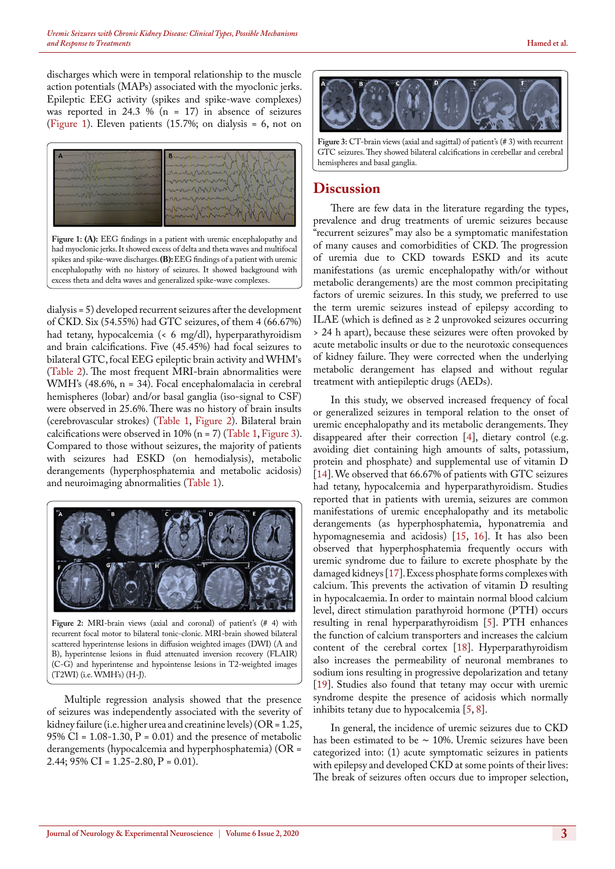discharges which were in temporal relationship to the muscle action potentials (MAPs) associated with the myoclonic jerks. Epileptic EEG activity (spikes and spike-wave complexes) was reported in 24.3 % ( $n = 17$ ) in absence of seizures ([Figure 1](#page-2-0)). Eleven patients (15.7%; on dialysis = 6, not on



<span id="page-2-0"></span>**Figure 1: (A):** EEG findings in a patient with uremic encephalopathy and had myoclonic jerks. It showed excess of delta and theta waves and multifocal spikes and spike-wave discharges. **(B):** EEG findings of a patient with uremic encephalopathy with no history of seizures. It showed background with excess theta and delta waves and generalized spike-wave complexes.

dialysis = 5) developed recurrent seizures after the development of CKD. Six (54.55%) had GTC seizures, of them 4 (66.67%) had tetany, hypocalcemia (< 6 mg/dl), hyperparathyroidism and brain calcifications. Five (45.45%) had focal seizures to bilateral GTC, focal EEG epileptic brain activity and WHM's ([Table 2\)](#page-4-0). The most frequent MRI-brain abnormalities were WMH's (48.6%, n = 34). Focal encephalomalacia in cerebral hemispheres (lobar) and/or basal ganglia (iso-signal to CSF) were observed in 25.6%. There was no history of brain insults (cerebrovascular strokes) ([Table 1](#page-3-0), [Figure 2](#page-2-1)). Bilateral brain calcifications were observed in 10% ( $n = 7$ ) ([Table 1](#page-3-0), [Figure 3\)](#page-2-2). Compared to those without seizures, the majority of patients with seizures had ESKD (on hemodialysis), metabolic derangements (hyperphosphatemia and metabolic acidosis) and neuroimaging abnormalities ([Table 1\)](#page-3-0).



<span id="page-2-1"></span>**Figure 2:** MRI-brain views (axial and coronal) of patient's (# 4) with recurrent focal motor to bilateral tonic-clonic. MRI-brain showed bilateral scattered hyperintense lesions in diffusion weighted images (DWI) (A and B), hyperintense lesions in fluid attenuated inversion recovery (FLAIR) (C-G) and hyperintense and hypointense lesions in T2-weighted images (T2WI) (i.e. WMH's) (H-J).

Multiple regression analysis showed that the presence of seizures was independently associated with the severity of kidney failure (i.e. higher urea and creatinine levels) (OR = 1.25, 95% Cl =  $1.08-1.30$ , P = 0.01) and the presence of metabolic derangements (hypocalcemia and hyperphosphatemia) (OR = 2.44;  $95\%$  CI = 1.25-2.80, P = 0.01).



<span id="page-2-2"></span>GTC seizures. They showed bilateral calcifications in cerebellar and cerebral hemispheres and basal ganglia.

#### **Discussion**

There are few data in the literature regarding the types, prevalence and drug treatments of uremic seizures because "recurrent seizures" may also be a symptomatic manifestation of many causes and comorbidities of CKD. The progression of uremia due to CKD towards ESKD and its acute manifestations (as uremic encephalopathy with/or without metabolic derangements) are the most common precipitating factors of uremic seizures. In this study, we preferred to use the term uremic seizures instead of epilepsy according to ILAE (which is defined as  $\geq 2$  unprovoked seizures occurring > 24 h apart), because these seizures were often provoked by acute metabolic insults or due to the neurotoxic consequences of kidney failure. They were corrected when the underlying metabolic derangement has elapsed and without regular treatment with antiepileptic drugs (AEDs).

In this study, we observed increased frequency of focal or generalized seizures in temporal relation to the onset of uremic encephalopathy and its metabolic derangements. They disappeared after their correction [[4\]](#page-6-3), dietary control (e.g. avoiding diet containing high amounts of salts, potassium, protein and phosphate) and supplemental use of vitamin D [[14\]](#page-7-6). We observed that 66.67% of patients with GTC seizures had tetany, hypocalcemia and hyperparathyroidism. Studies reported that in patients with uremia, seizures are common manifestations of uremic encephalopathy and its metabolic derangements (as hyperphosphatemia, hyponatremia and hypomagnesemia and acidosis) [\[15](#page-7-7), [16\]](#page-7-8). It has also been observed that hyperphosphatemia frequently occurs with uremic syndrome due to failure to excrete phosphate by the damaged kidneys [\[17](#page-7-9)]. Excess phosphate forms complexes with calcium. This prevents the activation of vitamin D resulting in hypocalcaemia. In order to maintain normal blood calcium level, direct stimulation parathyroid hormone (PTH) occurs resulting in renal hyperparathyroidism [\[5](#page-6-4)]. PTH enhances the function of calcium transporters and increases the calcium content of the cerebral cortex [\[18](#page-7-10)]. Hyperparathyroidism also increases the permeability of neuronal membranes to sodium ions resulting in progressive depolarization and tetany [[19\]](#page-7-11). Studies also found that tetany may occur with uremic syndrome despite the presence of acidosis which normally inhibits tetany due to hypocalcemia [[5,](#page-6-4) [8\]](#page-7-0).

In general, the incidence of uremic seizures due to CKD has been estimated to be ∼ 10%. Uremic seizures have been categorized into: (1) acute symptomatic seizures in patients with epilepsy and developed CKD at some points of their lives: The break of seizures often occurs due to improper selection,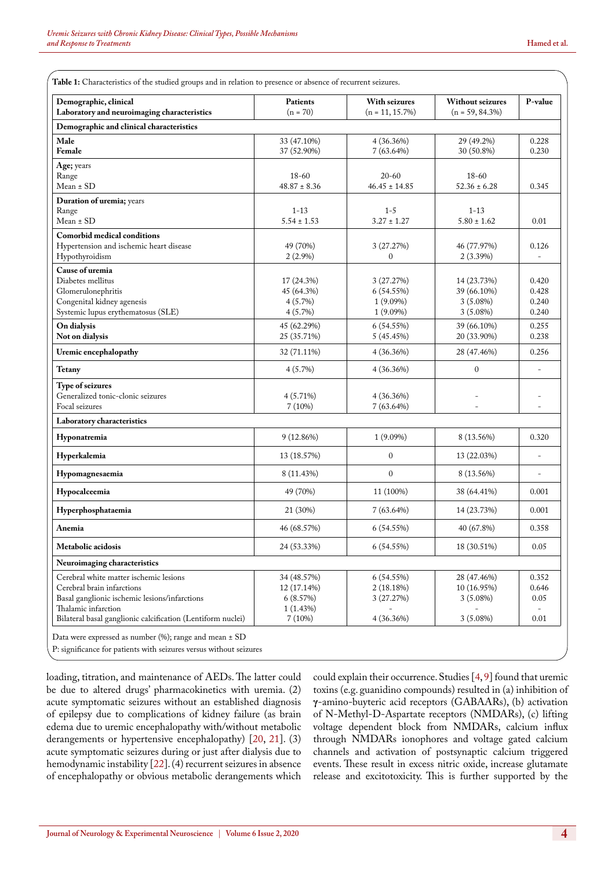<span id="page-3-0"></span>**Table 1:** Characteristics of the studied groups and in relation to presence or absence of recurrent seizures.

| Demographic, clinical<br>Laboratory and neuroimaging characteristics                                                                         | Patients<br>$(n = 70)$                                      | With seizures<br>$(n = 11, 15.7\%)$                    | <b>Without seizures</b><br>$(n = 59, 84.3\%)$            | P-value                          |
|----------------------------------------------------------------------------------------------------------------------------------------------|-------------------------------------------------------------|--------------------------------------------------------|----------------------------------------------------------|----------------------------------|
| Demographic and clinical characteristics                                                                                                     |                                                             |                                                        |                                                          |                                  |
| Male<br>Female                                                                                                                               | 33 (47.10%)<br>37 (52.90%)                                  | 4(36.36%)<br>7(63.64%)                                 | 29 (49.2%)<br>30 (50.8%)                                 | 0.228<br>0.230                   |
| Age; years<br>Range                                                                                                                          | 18-60<br>$20 - 60$<br>$48.87 \pm 8.36$<br>$46.45 \pm 14.85$ |                                                        | 18-60                                                    |                                  |
| Mean ± SD                                                                                                                                    |                                                             |                                                        | $52.36 \pm 6.28$                                         | 0.345                            |
| Duration of uremia; years<br>Range<br>Mean ± SD                                                                                              | $1 - 13$<br>$5.54 \pm 1.53$                                 | $1 - 5$<br>$3.27 \pm 1.27$                             | $1 - 13$<br>$5.80 \pm 1.62$                              | 0.01                             |
| Comorbid medical conditions<br>Hypertension and ischemic heart disease<br>Hypothyroidism                                                     | 49 (70%)<br>$2(2.9\%)$                                      | 3(27.27%)<br>$\mathbf{0}$                              | 46 (77.97%)<br>2(3.39%)                                  | 0.126                            |
| Cause of uremia<br>Diabetes mellitus<br>Glomerulonephritis<br>Congenital kidney agenesis<br>Systemic lupus erythematosus (SLE)               | 17 (24.3%)<br>45 (64.3%)<br>$4(5.7\%)$<br>4(5.7%)           | 3 (27.27%)<br>6 (54.55%)<br>$1(9.09\%)$<br>$1(9.09\%)$ | 14 (23.73%)<br>39 (66.10%)<br>$3(5.08\%)$<br>$3(5.08\%)$ | 0.420<br>0.428<br>0.240<br>0.240 |
| On dialysis<br>Not on dialysis                                                                                                               | 45 (62.29%)<br>25 (35.71%)                                  | 6(54.55%)<br>5 (45.45%)                                | 39 (66.10%)<br>20 (33.90%)                               | 0.255<br>0.238                   |
| Uremic encephalopathy                                                                                                                        | 32 (71.11%)                                                 | 4(36.36%)                                              | 28 (47.46%)                                              | 0.256                            |
| Tetany                                                                                                                                       | 4(5.7%)                                                     | $4(36.36\%)$                                           | $\mathbf{0}$                                             |                                  |
| Type of seizures<br>Generalized tonic-clonic seizures<br>Focal seizures                                                                      | 4 (5.71%)<br>7(10%)                                         | 4(36.36%)<br>7(63.64%)                                 |                                                          | $\overline{a}$                   |
| Laboratory characteristics                                                                                                                   |                                                             |                                                        |                                                          |                                  |
| Hyponatremia                                                                                                                                 | 9(12.86%)                                                   | $1(9.09\%)$                                            | 8 (13.56%)                                               | 0.320                            |
| Hyperkalemia                                                                                                                                 | 13 (18.57%)                                                 | $\mathbf{0}$                                           | 13 (22.03%)                                              | ٠                                |
| <b>Hypomagnesaemia</b>                                                                                                                       | 8 (11.43%)                                                  | $\mathbf{0}$                                           | 8 (13.56%)                                               |                                  |
| Hypocalceemia                                                                                                                                | 49 (70%)                                                    | 11 (100%)                                              | 38 (64.41%)                                              | 0.001                            |
| Hyperphosphataemia                                                                                                                           | 21 (30%)                                                    | 7(63.64%)                                              | 14 (23.73%)                                              | 0.001                            |
| Anemia                                                                                                                                       | 46 (68.57%)                                                 | 6(54.55%)                                              | 40 (67.8%)                                               | 0.358                            |
| Metabolic acidosis                                                                                                                           | 24 (53.33%)                                                 | 6(54.55%)                                              | 18 (30.51%)                                              | 0.05                             |
| Neuroimaging characteristics                                                                                                                 |                                                             |                                                        |                                                          |                                  |
| Cerebral white matter ischemic lesions<br>Cerebral brain infarctions<br>Basal ganglionic ischemic lesions/infarctions<br>Thalamic infarction | 34 (48.57%)<br>12 (17.14%)<br>6(8.57%)<br>1(1.43%)          | 6(54.55%)<br>2(18.18%)<br>3(27.27%)                    | 28 (47.46%)<br>10 (16.95%)<br>$3(5.08\%)$                | 0.352<br>0.646<br>0.05           |
| Bilateral basal ganglionic calcification (Lentiform nuclei)                                                                                  | 7(10%)                                                      | 4(36.36%)                                              | $0.01\,$                                                 |                                  |

P: significance for patients with seizures versus without seizures

loading, titration, and maintenance of AEDs. The latter could be due to altered drugs' pharmacokinetics with uremia. (2) acute symptomatic seizures without an established diagnosis of epilepsy due to complications of kidney failure (as brain edema due to uremic encephalopathy with/without metabolic derangements or hypertensive encephalopathy) [[20,](#page-7-12) [21\]](#page-7-13). (3) acute symptomatic seizures during or just after dialysis due to hemodynamic instability [[22\]](#page-7-14). (4) recurrent seizures in absence of encephalopathy or obvious metabolic derangements which

could explain their occurrence. Studies [[4,](#page-6-3) [9\]](#page-7-1) found that uremic toxins (e.g. guanidino compounds) resulted in (a) inhibition of **γ**-amino-buyteric acid receptors (GABAARs), (b) activation of N-Methyl-D-Aspartate receptors (NMDARs), (c) lifting voltage dependent block from NMDARs, calcium influx through NMDARs ionophores and voltage gated calcium channels and activation of postsynaptic calcium triggered events. These result in excess nitric oxide, increase glutamate release and excitotoxicity. This is further supported by the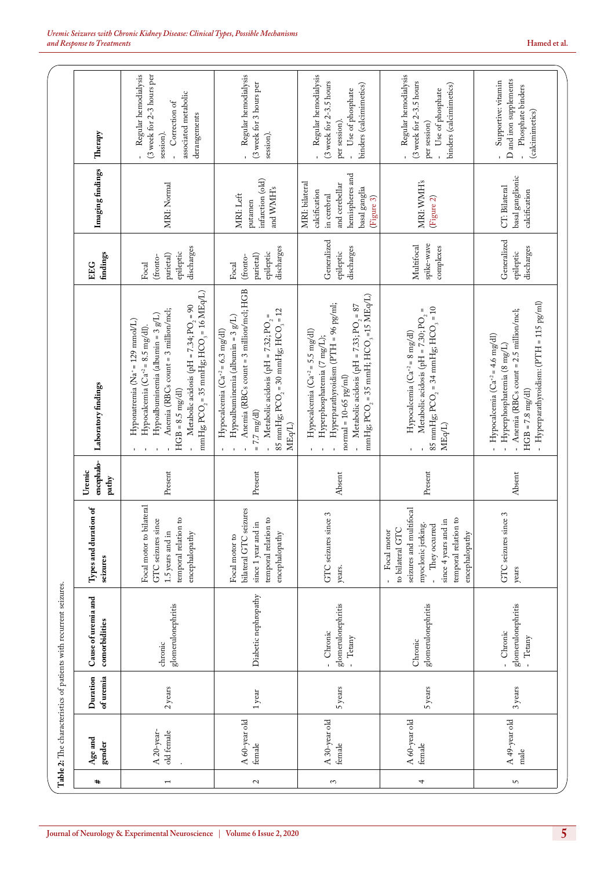<span id="page-4-0"></span>

| (3 week for 2-3.5 hours<br>(3 week for 2-3.5 hours<br>Supportive: vitamin<br>(3 week for 3 hours per<br>binders (calcimimetics)<br>binders (calcimimetics)<br>Phosphate binders<br>Use of phosphate<br>Use of phosphate<br>associated metabolic<br>Correction of<br>(calcimimetics)<br>derangements<br>per session).<br>per session)<br>Therapy<br>session).<br>session).<br>$\mathbf{r}$<br>Imaging findings<br>hemispheres and<br>basal ganglionic<br>infarction (old)<br>MRI: WMH's<br>MRI: bilateral<br>and cerebellar<br>MRI: Normal<br>CT: Bilateral<br>and WMH's<br>basal ganglia<br>calcification<br>calcification<br>MRI: Left<br>in cerebral<br>(Figure 3)<br>(Figure 2)<br>putamen<br>Generalized<br>Generalized<br>spike-wave<br>Multifocal<br>discharges<br>discharges<br>discharges<br>discharges<br>complexes<br>epileptic<br>epileptic<br>epileptic<br>epileptic<br>findings<br>partial)<br>parietal)<br>(fronto-<br>(fronto-<br>Focal<br>Focal<br>EEG<br>Anemia (RBCs count = 3 million/mcl; HGB<br>mmHg; PCO $_2$ = 35 mmHg; HCO $_3$ = 16 MEq/L)<br>mmHg; $PCO_2 = 35$ mmH; $HCO_3 = 15$ MEq/L)<br>- Hyperparathyroidism: (PTH = 115 pg/ml)<br>Hyperparathyroidism (PTH = 96 pg/ml;<br>- Metabolic acidosis (pH = 7.33; PO <sub>2</sub> = 87<br>Metabolic acidosis (pH = 7.34; PO <sub>2</sub> = 90<br>85 mmHg; $PCO_2 = 34$ mmHg; $HCO_3 = 10$<br>85 mmHg; $PCO_2 = 30$ mmHg; $HCO_3 = 12$<br>II<br>Anemia (RBCs count = 3 million/mcl;<br>Anemia (RBCs count = 2.5 million/mcl;<br>Hypoalbuminemia (albumin = $3 g/L$ )<br>Metabolic acidosis (pH = 7.30; PO $_{\rm 2}$<br>- Metabolic acidosis (pH = 7.32; PO <sub>2</sub> =<br>Hypoalbuminemia (albumin = $3 g/L$ )<br>Hyponatremia (Na <sup>+</sup> = 129 mmol/L)<br>Hypocalcemia ( $Ca^{42} = 8.5$ mg/dl).<br>Hypocalcemia $(Ca^{2} = 6.3 \text{ mg}/\text{d}l)$<br>Hypocalcemia $(Ca^{2} = 5.5$ mg/dl)<br>Hypocalcemia ( $Ca^{+2} = 8$ mg/dl)<br>Hypocalcemia $(Ca^{2} = 4.6$ mg/dl)<br>Hyperphosphatemia (7 mg/L);<br>- Hyperphosphatemia (8 mg/L)<br>$normal = 10-65$ $pg/ml$<br>Laboratory findings<br>$HGB = 8.5 \text{ mg/dl}$<br>$HGB = 7.8$ mg/dl)<br>$= 7.7$ mg/dl)<br>MEq/L)<br>MEq <sup>L</sup> )<br>$\bar{\mathbf{r}}$<br>$\mathbf{r}$<br>$\mathbf{r}$<br>$\mathbf{r}$<br>$\blacksquare$<br>encephalo-<br>Uremic<br>Present<br>Present<br>Present<br>Absent<br>Absent<br>pathy<br>bilateral<br>Types and duration of<br>bilateral GTC seizures<br>seizures and multifocal<br>GTC seizures since 3<br>GTC seizures since 3<br>temporal relation to<br>temporal relation to<br>temporal relation to<br>GTC seizures since<br>since 4 years and in<br>since 1 year and in<br>myoclonic jerking.<br>They occurred<br>to bilateral GTC<br>Focal motor<br>1.5 years and in<br>Focal motor to<br>encephalopathy<br>Focal motor to<br>encephalopathy<br>encephalopathy<br>seizures<br>years.<br>years<br>Diabetic nephropathy<br>Cause of uremia and<br>glomerulonephritis<br>glomerulonephritis<br>glomerulonephritis<br>glomerulonephritis<br>comorbidities<br>- Chronic<br>- Chronic<br>- Tetany<br>- Tetany<br>Chronic<br>chronic<br>of uremia<br>Duration<br>2 years<br>5 years<br>5 years<br>3 years<br>$1\,\rm year$<br>A 49-year old<br>A 30-year old<br>A 60-year old<br>A 60-year old<br>A 20-year-<br>old female<br>Age and<br>gender<br>female<br>female<br>female<br>male<br>#<br>$\mathcal{L}$<br>3<br>4<br>S<br>$\mathbf \tau$ |  | Table 2: The characteristics of patients with recurrent seizures. |  |  |                                                   |
|----------------------------------------------------------------------------------------------------------------------------------------------------------------------------------------------------------------------------------------------------------------------------------------------------------------------------------------------------------------------------------------------------------------------------------------------------------------------------------------------------------------------------------------------------------------------------------------------------------------------------------------------------------------------------------------------------------------------------------------------------------------------------------------------------------------------------------------------------------------------------------------------------------------------------------------------------------------------------------------------------------------------------------------------------------------------------------------------------------------------------------------------------------------------------------------------------------------------------------------------------------------------------------------------------------------------------------------------------------------------------------------------------------------------------------------------------------------------------------------------------------------------------------------------------------------------------------------------------------------------------------------------------------------------------------------------------------------------------------------------------------------------------------------------------------------------------------------------------------------------------------------------------------------------------------------------------------------------------------------------------------------------------------------------------------------------------------------------------------------------------------------------------------------------------------------------------------------------------------------------------------------------------------------------------------------------------------------------------------------------------------------------------------------------------------------------------------------------------------------------------------------------------------------------------------------------------------------------------------------------------------------------------------------------------------------------------------------------------------------------------------------------------------------------------------------------------------------------------------------------------------------------------------------------------------------------------------------------------------------------------------------------------------------------------------------------------------------------------------------------------------------------------------------------------------------------------------------------------------------------------------------------------------------------------------------------------------------------------------------------------------------------------------------------------|--|-------------------------------------------------------------------|--|--|---------------------------------------------------|
|                                                                                                                                                                                                                                                                                                                                                                                                                                                                                                                                                                                                                                                                                                                                                                                                                                                                                                                                                                                                                                                                                                                                                                                                                                                                                                                                                                                                                                                                                                                                                                                                                                                                                                                                                                                                                                                                                                                                                                                                                                                                                                                                                                                                                                                                                                                                                                                                                                                                                                                                                                                                                                                                                                                                                                                                                                                                                                                                                                                                                                                                                                                                                                                                                                                                                                                                                                                                                            |  |                                                                   |  |  |                                                   |
|                                                                                                                                                                                                                                                                                                                                                                                                                                                                                                                                                                                                                                                                                                                                                                                                                                                                                                                                                                                                                                                                                                                                                                                                                                                                                                                                                                                                                                                                                                                                                                                                                                                                                                                                                                                                                                                                                                                                                                                                                                                                                                                                                                                                                                                                                                                                                                                                                                                                                                                                                                                                                                                                                                                                                                                                                                                                                                                                                                                                                                                                                                                                                                                                                                                                                                                                                                                                                            |  |                                                                   |  |  | (3 week for 2-3 hours per<br>Regular hemodialysis |
|                                                                                                                                                                                                                                                                                                                                                                                                                                                                                                                                                                                                                                                                                                                                                                                                                                                                                                                                                                                                                                                                                                                                                                                                                                                                                                                                                                                                                                                                                                                                                                                                                                                                                                                                                                                                                                                                                                                                                                                                                                                                                                                                                                                                                                                                                                                                                                                                                                                                                                                                                                                                                                                                                                                                                                                                                                                                                                                                                                                                                                                                                                                                                                                                                                                                                                                                                                                                                            |  |                                                                   |  |  | - Regular hemodialysis                            |
|                                                                                                                                                                                                                                                                                                                                                                                                                                                                                                                                                                                                                                                                                                                                                                                                                                                                                                                                                                                                                                                                                                                                                                                                                                                                                                                                                                                                                                                                                                                                                                                                                                                                                                                                                                                                                                                                                                                                                                                                                                                                                                                                                                                                                                                                                                                                                                                                                                                                                                                                                                                                                                                                                                                                                                                                                                                                                                                                                                                                                                                                                                                                                                                                                                                                                                                                                                                                                            |  |                                                                   |  |  | Regular hemodialysis                              |
|                                                                                                                                                                                                                                                                                                                                                                                                                                                                                                                                                                                                                                                                                                                                                                                                                                                                                                                                                                                                                                                                                                                                                                                                                                                                                                                                                                                                                                                                                                                                                                                                                                                                                                                                                                                                                                                                                                                                                                                                                                                                                                                                                                                                                                                                                                                                                                                                                                                                                                                                                                                                                                                                                                                                                                                                                                                                                                                                                                                                                                                                                                                                                                                                                                                                                                                                                                                                                            |  |                                                                   |  |  | Regular hemodialysis                              |
|                                                                                                                                                                                                                                                                                                                                                                                                                                                                                                                                                                                                                                                                                                                                                                                                                                                                                                                                                                                                                                                                                                                                                                                                                                                                                                                                                                                                                                                                                                                                                                                                                                                                                                                                                                                                                                                                                                                                                                                                                                                                                                                                                                                                                                                                                                                                                                                                                                                                                                                                                                                                                                                                                                                                                                                                                                                                                                                                                                                                                                                                                                                                                                                                                                                                                                                                                                                                                            |  |                                                                   |  |  | D and iron supplements                            |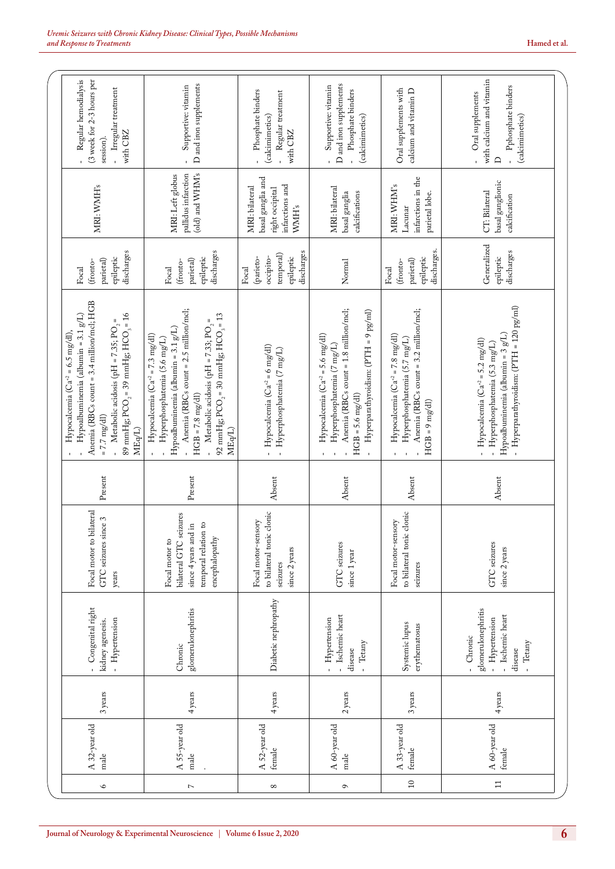| Regular hemodialysis<br>(3 week for 2-3 hours per<br>- Irregular treatment<br>session).                                                                                                           | with CBZ                                                       | D and iron supplements<br>Supportive: vitamin                                                                                                                                                                                                                                                                           | Phosphate binders<br>Regular treatment<br>(calcimimetics)<br>with CBZ                     | D and iron supplements<br>Supportive: vitamin<br>Phosphate binders<br>(calcimimetics)                                                                                    | Oral supplements with<br>calcium and vitamin D                                                                                                  | with calcium and vitamin<br>Pphosphate binders<br>Oral supplements<br>(calcimimetics)<br><b>A</b>                                                                                 |
|---------------------------------------------------------------------------------------------------------------------------------------------------------------------------------------------------|----------------------------------------------------------------|-------------------------------------------------------------------------------------------------------------------------------------------------------------------------------------------------------------------------------------------------------------------------------------------------------------------------|-------------------------------------------------------------------------------------------|--------------------------------------------------------------------------------------------------------------------------------------------------------------------------|-------------------------------------------------------------------------------------------------------------------------------------------------|-----------------------------------------------------------------------------------------------------------------------------------------------------------------------------------|
| MRI: WMH's                                                                                                                                                                                        |                                                                | (old) and WHM's<br>pallidus infarction<br>MRI: Left globus                                                                                                                                                                                                                                                              | basal ganglia and<br>infarctions and<br>MRI: bilateral<br>right occipital<br><b>WMH's</b> | MRI: bilateral<br>calcifications<br>basal ganglia                                                                                                                        | infarctions in the<br>MRI: WHM's<br>parietal lobe.<br>Lacunar                                                                                   | basal ganglionic<br>CT: Bilateral<br>calcification                                                                                                                                |
| epileptic<br>$\rm{paired})$<br>(fronto-<br>Focal                                                                                                                                                  | discharges                                                     | discharges<br>epileptic<br>partetal)<br>(fronto-<br>Focal                                                                                                                                                                                                                                                               | discharges<br>temporal)<br>(parieto-<br>occipito-<br>epileptic<br>Focal                   | Normal                                                                                                                                                                   | discharges.<br>epileptic<br>(fronto-<br>Focal                                                                                                   | Generalized<br>discharges<br>epileptic                                                                                                                                            |
| Anemia (RBCs count = 3.4 million/mcl; HGB<br>Hypoalbuminemia (albumin = 3.1 $g/L$ )<br>Metabolic acidosis (pH = 7.35; PO $_{\rm 2}$ =<br>Hypocalcemia ( $Ca^{+2} = 6.5$ mg/dl),<br>$= 7.7$ mg/dl) | 89 mmHg; $PCO_2 = 39$ mmHg; $HCO_3 = 16$<br>MEq <sup>L</sup> ) | Anemia (RBCs count = 2.5 million/mcl;<br>92 mmHg; $PCO_2 = 30$ mmHg; $HCO_3 = 13$<br>Metabolic acidosis (pH = 7.33; PO <sub>2</sub> =<br>Hypoalbuminemia (albumin = $3.1$ $g/L$ )<br>Hypocalcemia $(Ca^{2} = 7.3 \text{ mg/dl})$<br>Hyperphosphatemia (5.6 mg/L)<br>$HGB = 7.8 \text{ mg/dl}$<br>MEq/L)<br>$\mathbf{r}$ | Hypocalcemia ( $Ca^{+2} = 6$ mg/dl)<br>Hyperphosphatemia (7 mg/L)<br>Î.<br>$\mathbf{u}$   | Anemia (RBCs count = 1.8 million/mcl;<br>Hyperparathyroidism: (PTH = 9 pg/ml)<br>Hypocalcemia $(Ca^{2} = 5.6$ mg/dl)<br>Hyperphosphatemia (7 mg/L)<br>$HGB = 5.6$ mg/dl) | Anemia (RBCs count = 3.2 million/mcl;<br>Hypocalcemia $(Ca^{+2} = 7.8 \text{ mg}/\text{d}l)$<br>Hyperphosphatemia (5.7 mg/L)<br>$HGB = 9 mg/dl$ | - Hyperparathyroidism: (PTH = 120 pg/ml)<br>Hypoalbuminemia (albumin = $3 g/L$ )<br>- Hypocalcemia $(Ca^{2} = 5.2 \text{ mg/dl})$<br>Hyperphosphatemia (5.3 mg/L)<br>$\mathbf{r}$ |
| Present                                                                                                                                                                                           |                                                                | Present                                                                                                                                                                                                                                                                                                                 | Absent                                                                                    | Absent                                                                                                                                                                   | Absent                                                                                                                                          | Absent                                                                                                                                                                            |
| Focal motor to bilateral<br>GTC seizures since 3<br>years                                                                                                                                         |                                                                | bilateral GTC seizures<br>temporal relation to<br>since 4 years and in<br>encephalopathy<br>Focal motor to                                                                                                                                                                                                              | to bilateral tonic clonic<br>Focal motor-sensory<br>since 2 years<br>seizures             | GTC seizures<br>since 1 year                                                                                                                                             | c clonic<br>Focal motor-sensory<br>to bilateral tonic<br>seizures                                                                               | <b>GTC</b> seizures<br>since 2 years                                                                                                                                              |
| Congenital right<br>- Hypertension<br>kidney agenesis.                                                                                                                                            |                                                                | glomerulonephritis<br>Chronic                                                                                                                                                                                                                                                                                           | Diabetic nephropathy                                                                      | - Ischemic heart<br>- Hypertension<br>Tetany<br>disease                                                                                                                  | Systemic lupus<br>erythematosus                                                                                                                 | glomerulonephritis<br>Ischemic heart<br>Hypertension<br>Chronic<br>- Tetany<br>disease<br>Î.                                                                                      |
| 3 years                                                                                                                                                                                           |                                                                | 4 years                                                                                                                                                                                                                                                                                                                 | 4 years                                                                                   | 2 years                                                                                                                                                                  | 3 years                                                                                                                                         | 4 years                                                                                                                                                                           |
| A 32-year old<br>male                                                                                                                                                                             |                                                                | A 55-year old<br>male                                                                                                                                                                                                                                                                                                   | A 52-year old<br>female                                                                   | A 60-year old<br>male                                                                                                                                                    | A 33-year old<br>female                                                                                                                         | A 60-year old<br>female                                                                                                                                                           |
| $\circ$                                                                                                                                                                                           |                                                                | $\triangleright$                                                                                                                                                                                                                                                                                                        | $^{\circ}$                                                                                | $\mathbf{\sigma}$                                                                                                                                                        | $\Xi$                                                                                                                                           | $\Xi$                                                                                                                                                                             |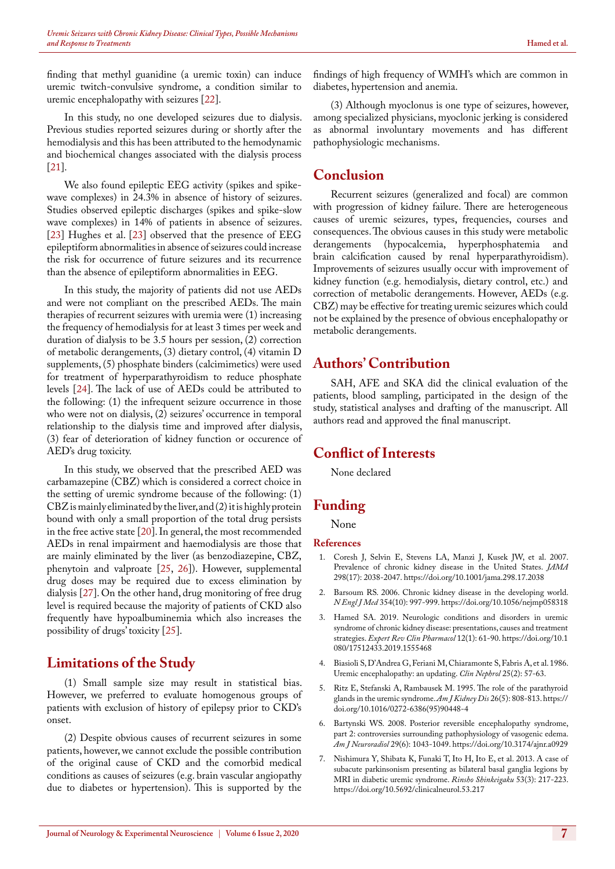finding that methyl guanidine (a uremic toxin) can induce uremic twitch-convulsive syndrome, a condition similar to uremic encephalopathy with seizures [\[22](#page-7-14)].

In this study, no one developed seizures due to dialysis. Previous studies reported seizures during or shortly after the hemodialysis and this has been attributed to the hemodynamic and biochemical changes associated with the dialysis process [[21\]](#page-7-13).

We also found epileptic EEG activity (spikes and spikewave complexes) in 24.3% in absence of history of seizures. Studies observed epileptic discharges (spikes and spike-slow wave complexes) in 14% of patients in absence of seizures. [[23\]](#page-7-15) Hughes et al. [\[23](#page-7-15)] observed that the presence of EEG epileptiform abnormalities in absence of seizures could increase the risk for occurrence of future seizures and its recurrence than the absence of epileptiform abnormalities in EEG.

In this study, the majority of patients did not use AEDs and were not compliant on the prescribed AEDs. The main therapies of recurrent seizures with uremia were (1) increasing the frequency of hemodialysis for at least 3 times per week and duration of dialysis to be 3.5 hours per session, (2) correction of metabolic derangements, (3) dietary control, (4) vitamin D supplements, (5) phosphate binders (calcimimetics) were used for treatment of hyperparathyroidism to reduce phosphate levels [\[24](#page-7-16)]. The lack of use of AEDs could be attributed to the following: (1) the infrequent seizure occurrence in those who were not on dialysis, (2) seizures' occurrence in temporal relationship to the dialysis time and improved after dialysis, (3) fear of deterioration of kidney function or occurence of AED's drug toxicity.

In this study, we observed that the prescribed AED was carbamazepine (CBZ) which is considered a correct choice in the setting of uremic syndrome because of the following: (1) CBZ is mainly eliminated by the liver, and (2) it is highly protein bound with only a small proportion of the total drug persists in the free active state [[20\]](#page-7-12). In general, the most recommended AEDs in renal impairment and haemodialysis are those that are mainly eliminated by the liver (as benzodiazepine, CBZ, phenytoin and valproate [\[25](#page-7-17), [26](#page-7-18)]). However, supplemental drug doses may be required due to excess elimination by dialysis [\[27](#page-7-19)]. On the other hand, drug monitoring of free drug level is required because the majority of patients of CKD also frequently have hypoalbuminemia which also increases the possibility of drugs' toxicity [\[25](#page-7-17)].

## **Limitations of the Study**

(1) Small sample size may result in statistical bias. However, we preferred to evaluate homogenous groups of patients with exclusion of history of epilepsy prior to CKD's onset.

(2) Despite obvious causes of recurrent seizures in some patients, however, we cannot exclude the possible contribution of the original cause of CKD and the comorbid medical conditions as causes of seizures (e.g. brain vascular angiopathy due to diabetes or hypertension). This is supported by the findings of high frequency of WMH's which are common in diabetes, hypertension and anemia.

(3) Although myoclonus is one type of seizures, however, among specialized physicians, myoclonic jerking is considered as abnormal involuntary movements and has different pathophysiologic mechanisms.

# **Conclusion**

Recurrent seizures (generalized and focal) are common with progression of kidney failure. There are heterogeneous causes of uremic seizures, types, frequencies, courses and consequences. The obvious causes in this study were metabolic derangements (hypocalcemia, hyperphosphatemia and brain calcification caused by renal hyperparathyroidism). Improvements of seizures usually occur with improvement of kidney function (e.g. hemodialysis, dietary control, etc.) and correction of metabolic derangements. However, AEDs (e.g. CBZ) may be effective for treating uremic seizures which could not be explained by the presence of obvious encephalopathy or metabolic derangements.

#### **Authors' Contribution**

SAH, AFE and SKA did the clinical evaluation of the patients, blood sampling, participated in the design of the study, statistical analyses and drafting of the manuscript. All authors read and approved the final manuscript.

# **Conflict of Interests**

None declared

# **Funding**

None

#### **References**

- <span id="page-6-0"></span>1. Coresh J, Selvin E, Stevens LA, Manzi J, Kusek JW, et al. 2007. Prevalence of chronic kidney disease in the United States. *JAMA* 298(17): 2038-2047. https://doi.org/10.1001/jama.298.17.2038
- <span id="page-6-1"></span>2. Barsoum RS. 2006. Chronic kidney disease in the developing world. *N Engl J Med* 354(10): 997-999. https://doi.org/10.1056/nejmp058318
- <span id="page-6-2"></span>3. Hamed SA. 2019. Neurologic conditions and disorders in uremic syndrome of chronic kidney disease: presentations, causes and treatment strategies. *Expert Rev Clin Pharmacol* 12(1): 61-90. https://doi.org/10.1 080/17512433.2019.1555468
- <span id="page-6-3"></span>4. Biasioli S, D'Andrea G, Feriani M, Chiaramonte S, Fabris A, et al. 1986. Uremic encephalopathy: an updating. *Clin Nephrol* 25(2): 57-63.
- <span id="page-6-4"></span>5. Ritz E, Stefanski A, Rambausek M. 1995. The role of the parathyroid glands in the uremic syndrome. *Am J Kidney Dis* 26(5): 808-813.https:// doi.org/10.1016/0272-6386(95)90448-4
- <span id="page-6-5"></span>6. Bartynski WS. 2008. Posterior reversible encephalopathy syndrome, part 2: controversies surrounding pathophysiology of vasogenic edema. *Am J Neuroradiol* 29(6): 1043-1049. https://doi.org/10.3174/ajnr.a0929
- <span id="page-6-6"></span>7. Nishimura Y, Shibata K, Funaki T, Ito H, Ito E, et al. 2013. A case of subacute parkinsonism presenting as bilateral basal ganglia legions by MRI in diabetic uremic syndrome. *Rinsho Shinkeigaku* 53(3): 217-223. https://doi.org/10.5692/clinicalneurol.53.217